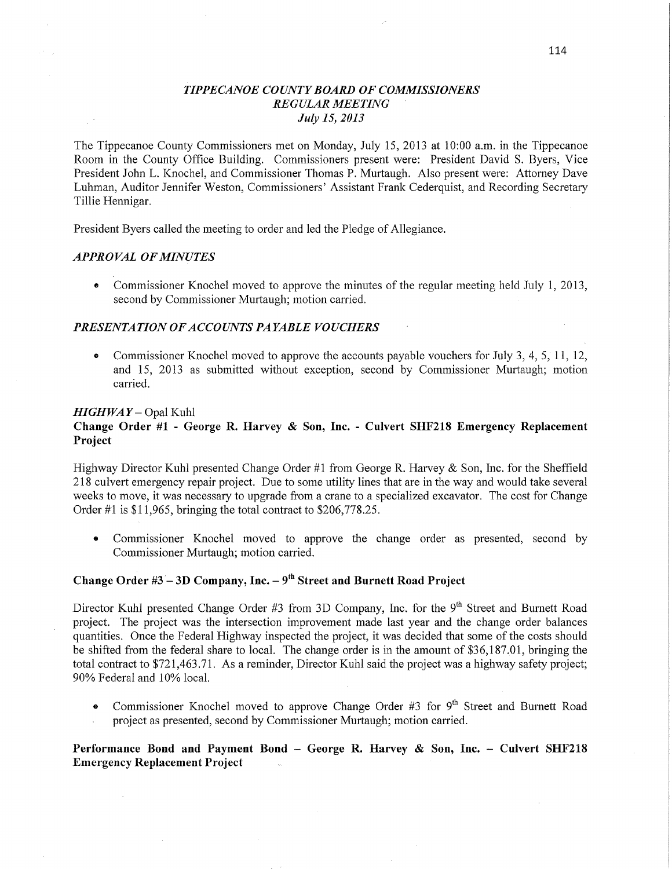# *TIPPECANOE* C0 *UNTY BOARD* OF *COMMISSIONERS REGULAR MEETING ' July* 15, *2013*

The Tippecanoe County Commissioners met on Monday, July 15, 2013 at 10:00 **am.** in the Tippecanoe Room in the County Office Building. Commissioners present were: President David S. Byers, Vice President John L. Knochel, and Commissioner Thomas P. Murtaugh. Also present were: Attorney Dave Luhman, Auditor Jennifer Weston, Commissioners' Assistant Frank Cederquist, and Recording Secretary Tillie Hennigar.

President Byers called the meeting to order and led the Pledge of Allegiance.

# *APPROVAL* OF *MINUTES*

**0** Commissioner Knochel moved to approve the minutes of the regular meeting held July 1, 2013, second by Commissioner Murtaugh; motion carried.

### *PRESENTATION* OF *ACCOUNT S PAYABLE VOUCHERS*

• Commissioner Knochel moved to approve the accounts payable vouchers for July 3, 4, 5, 11, 12, and 15, 2013 as submitted without exception, second by Commissioner Murtaugh; motion carried.

#### *HIGHWAY —* Opal Kuhl

# **Change Order** #1 *-* **George** R. **Harvey &** Son, **Inc.** *-* Culvert **SI-IF218 Emergency Replacement Project**

Highway Director Kuhl presented Change Order #1 from George R. Harvey & Son, Inc. for the Sheffield 218 culvert emergency repair project. Due to some utility **lines** that are in the way and would take several weeks to move, it was necessary to upgrade from a crane to a specialized excavator. The cost for Change Order  $\#1$  is \$11,965, bringing the total contract to \$206,778.25.

**0** Commissioner Knochel moved to approve the change order as presented, second by Commissioner Murtaugh; motion carried.

# **Change Order** #3 '— 3D **Company, Inc.** *—* 9"1 **Street** and **Burnett Road Project**

Director Kuhl presented Change Order #3 from 3D Company, Inc. for the 9<sup>th</sup> Street and Burnett Road project. The project was the intersection improvement made last year and the change order balances quantities. Once the Federal Highway inspected the project, it was decided that some of the costs should be shifted from the federal share to local. The change order is in the amount of \$36,187.01, bringing the total contract to \$721,463.71. As a reminder, Director Kuhl said the project was a highway safety project; 90% Federal and 10% local.

**0** Commissioner Knochel moved to approve Change Order #3 for 9'h Street and Burnett Road project as presented, second by Commissioner Murtaugh; motion carried.

# **Performance Bond** and **Payment Bond — George** R. **Harvey &** Son, **Inc. - Culvert SHF218**  Emergency Replacement **Project**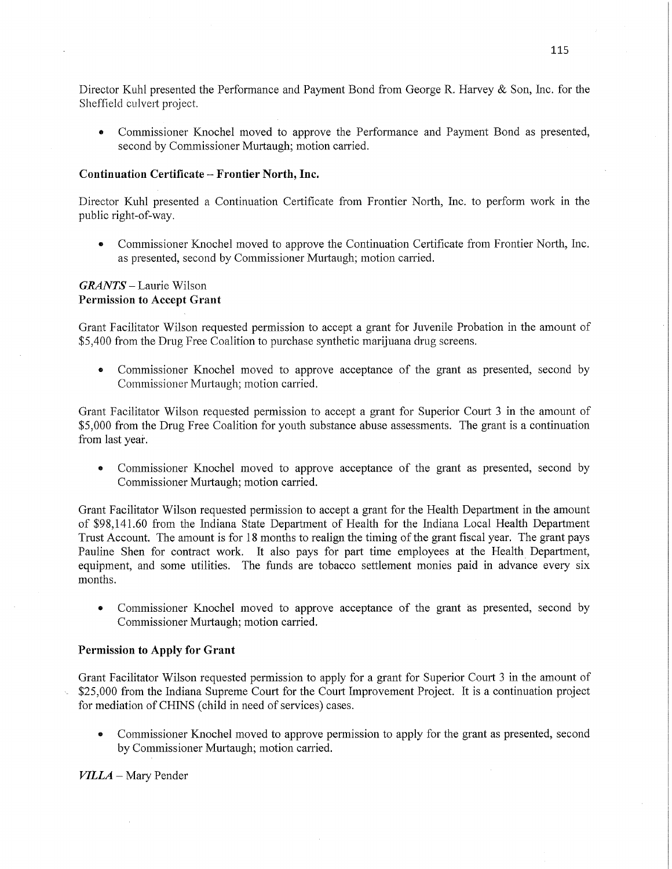Director Kuhl presented the Performance and Payment Bond from George R. Harvey & Son, **Inc.** for the Sheffield culvert project.

**0** Commissioner Knochel moved to approve the Performance and Payment Bond as presented, second by Commissioner Murtaugh; motion carried.

#### **Continuation Certificate** — **Frontier North,** Inc.

Director Kuhl presented a Continuation Certificate from Frontier North, **Inc.** to perform work in the public right-of—way.

**-** Commissioner Knochel moved to approve the Continuation Certificate from Frontier North, **Inc.**  as presented, second by Commissioner Murtaugh; motion carried.

# *GRANTS —* Laurie Wilson Permission to **Accept Grant**

Grant Facilitator Wilson requested permission to accept <sup>a</sup>grant for Juvenile Probation in the amount of \$5,400 from the Drug Free Coalition to purchase synthetic marijuana drug screens.

**0** Commissioner Knochel moved to approve acceptance of the grant as presented, second by Commissioner Murtaugh; motion carried.

Grant Facilitator Wilson requested permission to accept a grant for Superior Court 3 in the amount of \$5,000 from the Drug Free Coalition for youth substance abuse assessments. The grant is a continuation from last year.

**0** Commissioner Knochel moved to approve acceptance of the grant as presented, second by Commissioner Murtaugh; motion carried.

Grant Facilitator Wilson requested permission to accept <sup>a</sup>grant for the Health Department in the amount of \$98,141.60 from the Indiana State Department of **Health** for the Indiana Local Health Department Trust Account. The amount is for 18 months to realign the timing of the grant fiscal year. The grant pays Pauline Shen for contract work. It also pays for part time employees at the Health Department, equipment, and some utilities. The funds are tobacco settlement monies paid in advance every six months.

**0** Commissioner Knochel moved to approve acceptance of the grant 'as presented, second by Commissioner Murtaugh; motion carried.

#### **Permission** to **Apply** for **Grant**

Grant Facilitator Wilson requested permission to apply for a grant for Superior Court 3 in the amount of \$25,000 from the Indiana Supreme Court for the Court Improvement Project. It is a continuation project for mediation of CHINS (child in need of services) cases.

**0** Commissioner Knochel moved to approve permission to apply for the grant as presented, second by Commissioner Murtaugh; motion carried.

*VILLA —* Mary Fender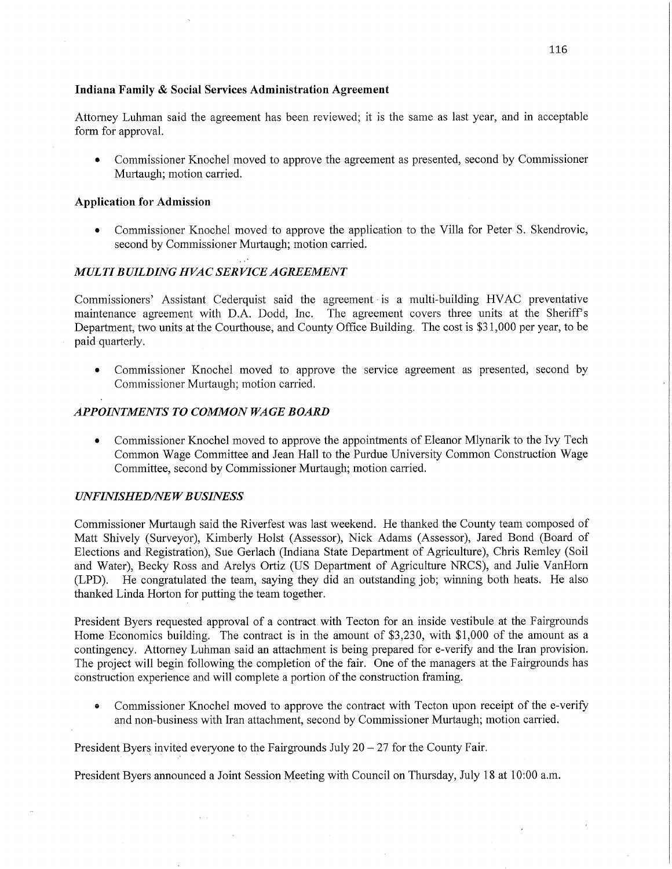### **Indiana Family & Social Services Administration Agreement**

Attorney Luhman said the agreement has **been** reviewed; it is the same as last year, and in acceptable form for approval.

**0** Commissioner Knochel moved to approve the agreement as presented, second by Commissioner Murtaugh; motion carried.

### **Application** for **Admission**

• Commissioner Knochel moved to approve the application to the Villa for Peter S. Skendrovic, second by Commissioner Murtaugh; motion carried.

# *M* UL *T I B UILDING H* VAC SER *'II/I* CE *A GREEMEN T*

Commissioners' Assistant Cederquist said the agreement-is a multi-building HVAC preventative maintenance agreement with BA. Dodd, Inc. The agreement covers three units at the Sheriff's Department, two units at the Courthouse, and County Office Building. The cost is \$31,000 per year, to be paid quarterly.

**.** Commissioner Knochel moved to approve the service agreement as presented, **second** by Commissioner Murtaugh; motion carried.

# **APPOINTMENTS TO COMMON WAGE BOARD**

**0** Commissioner Knochel moved to approve the appointments of Eleanor Mlynarik to the Ivy Tech Common Wage Committee and Jean Hall to the Purdue University Common Construction Wage Committee, second by Commissioner Murtaugh; **motion** carried.

# *UNFINISHED/NEW BUSINESS*

Commissioner Murtaugh said the Riverfest was last weekend. He thanked the County team composed of Matt Shively (Surveyor), Kimberly Holst (Assessor), Nick Adams (Assessor), Jared Bond (Board of Elections and Registration), Sue Gerlach (Indiana State Department of Agriculture), Chris Remley (Soil and Water), Becky Ross and Arelys Ortiz (US Department of Agriculture NRCS), and Julie VanHorn (LPD). He congratulated the team, saying they did an outstanding job; Winning both heats. He also thanked Linda Horton for putting the team together.

President Byers requested approval of a contract with Tecton for an inside vestibule at the Fairgrounds Home Economics building. The contract is in the amount of \$3,230, with \$1,000 of the amount as a contingency. Attorney Luhman said an attachment is being prepared for e-verify and the **Iran** provision. The project will begin following the completion of the fair. One of the managers at the Fairgrounds has construction experience and will complete a portion of the construction framing.

**0** Commissioner Knochel moved to approve the contract with Tecton upon receipt of the e-verify and non-business with Iran attachment, second by Commissioner Murtaugh; motion carried.

President Byers invited everyone to the Fairgrounds July  $20 - 27$  for the County Fair.

President Byers announced a Joint Session Meeting with Council on Thursday, July 18 at **10:00** am.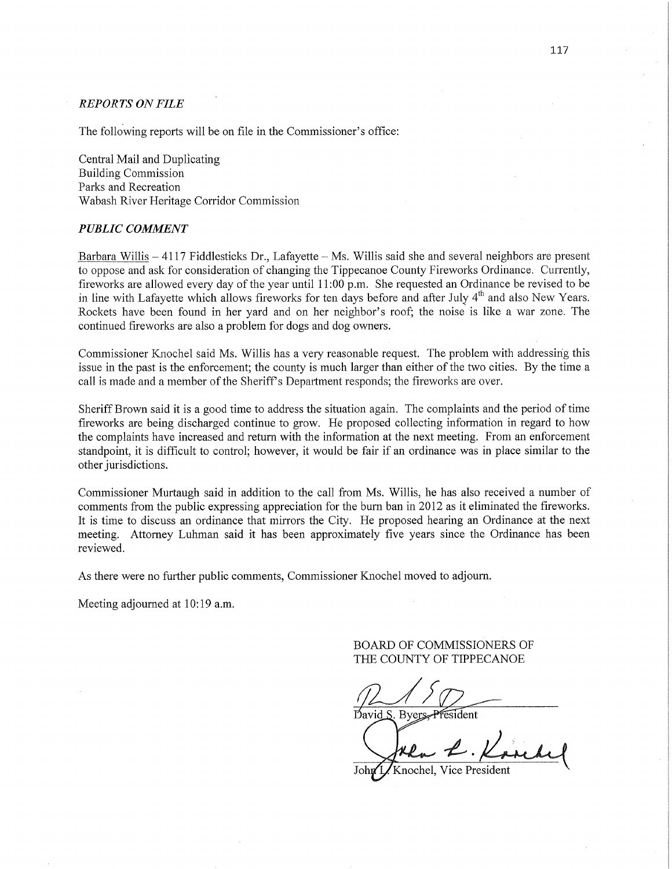### *REPORTS* ON *FILE*

The following reports will be on file in the Commissioner's office:

Central Mail and Duplicating Building Commission Parks and Recreation Wabash River Heritage Corridor Commission

#### *PUBLIC COMMENT*

Barbara Willis **—** 4117 Fiddlesticks Dr., Lafayette *—* Ms. Willis said she and several neighbors are presen<sup>t</sup> to oppose and ask for consideration of changing the Tippecanoe County Fireworks Ordinance. Currently, fireworks are allowed every day of the year until 11:00 p.m. She requested an Ordinance be revised to be in line with Lafayette which allows fireworks for ten days before and after July  $4<sup>th</sup>$  and also New Years. Rockets have been found in her yard and on her neighbor's roof; the noise is like a war zone. The continued fireworks are also a problem for dogs and dog owners.

Commissioner Knochel said Ms. Willis has a very reasonable request. The problem with addressing this issue in the past is the enforcement; the county is much larger than either of the two cities. By the time <sup>a</sup> call is made and a member of the Sheriff's Department responds; the fireworks are over.

Sheriff Brown said it is a good time to address the situation again. The complaints and the period of time fireworks are being discharged continue to grow. He proposed collecting information in regard to how the complaints have increased and return with the information at the next meeting. From an enforcement standpoint, it is difficult to control; however, it would be fair if an ordinance was in place similar to the other jurisdictions.

Commissioner Murtaugh said in addition to the call from Ms. Willis, he has also received a number of comments from the public expressing appreciation for the burn ban in 2012 as it eliminated the fireworks. It is time to discuss an ordinance that mirrors the City. He proposed hearing an Ordinance at the next meeting. Attorney Luhman said it has been approximately five years since the Ordinance has been reviewed.

As there were no further public comments, Commissioner Knochel moved to adjourn.

Meeting adjourned at 10:19 a.m.

BOARD OF COMMISSIONERS OF THE COUNTY OF TIPPECANOE

David S. Byers, President

Knochel, Vice President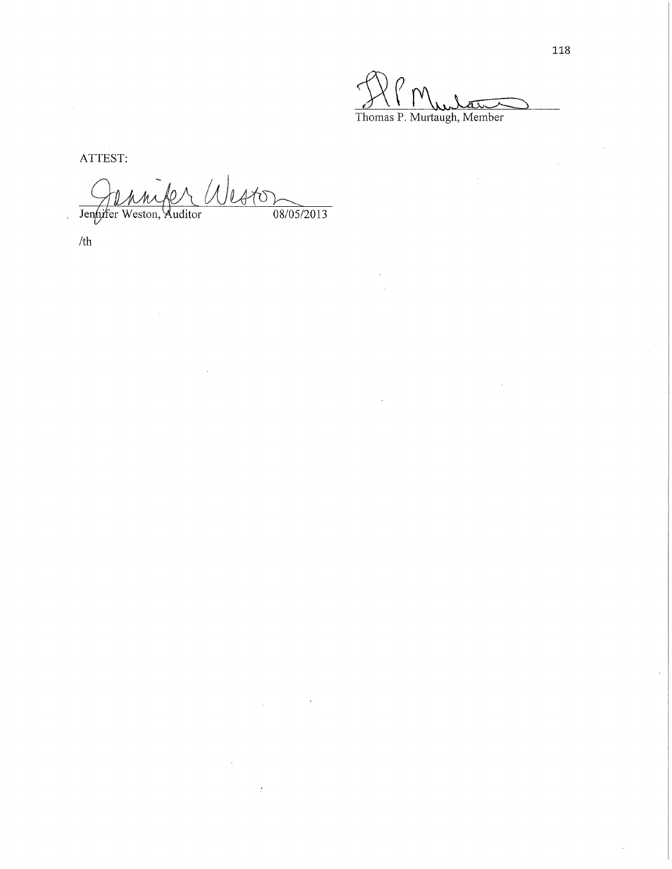Thomas P. Murtaugh, Member

ATTEST:

Westo  $\frac{1}{08/05/2013}$ Jennifer Weston, Auditor

ż

/th